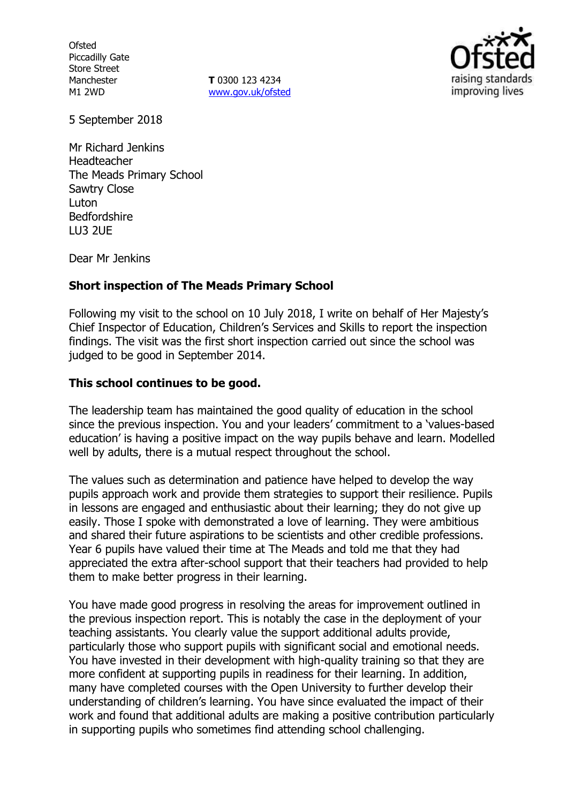**Ofsted** Piccadilly Gate Store Street Manchester M1 2WD

**T** 0300 123 4234 www.gov.uk/ofsted



5 September 2018

Mr Richard Jenkins Headteacher The Meads Primary School Sawtry Close **Luton** Bedfordshire LU3 2UE

Dear Mr Jenkins

# **Short inspection of The Meads Primary School**

Following my visit to the school on 10 July 2018, I write on behalf of Her Majesty's Chief Inspector of Education, Children's Services and Skills to report the inspection findings. The visit was the first short inspection carried out since the school was judged to be good in September 2014.

### **This school continues to be good.**

The leadership team has maintained the good quality of education in the school since the previous inspection. You and your leaders' commitment to a 'values-based education' is having a positive impact on the way pupils behave and learn. Modelled well by adults, there is a mutual respect throughout the school.

The values such as determination and patience have helped to develop the way pupils approach work and provide them strategies to support their resilience. Pupils in lessons are engaged and enthusiastic about their learning; they do not give up easily. Those I spoke with demonstrated a love of learning. They were ambitious and shared their future aspirations to be scientists and other credible professions. Year 6 pupils have valued their time at The Meads and told me that they had appreciated the extra after-school support that their teachers had provided to help them to make better progress in their learning.

You have made good progress in resolving the areas for improvement outlined in the previous inspection report. This is notably the case in the deployment of your teaching assistants. You clearly value the support additional adults provide, particularly those who support pupils with significant social and emotional needs. You have invested in their development with high-quality training so that they are more confident at supporting pupils in readiness for their learning. In addition, many have completed courses with the Open University to further develop their understanding of children's learning. You have since evaluated the impact of their work and found that additional adults are making a positive contribution particularly in supporting pupils who sometimes find attending school challenging.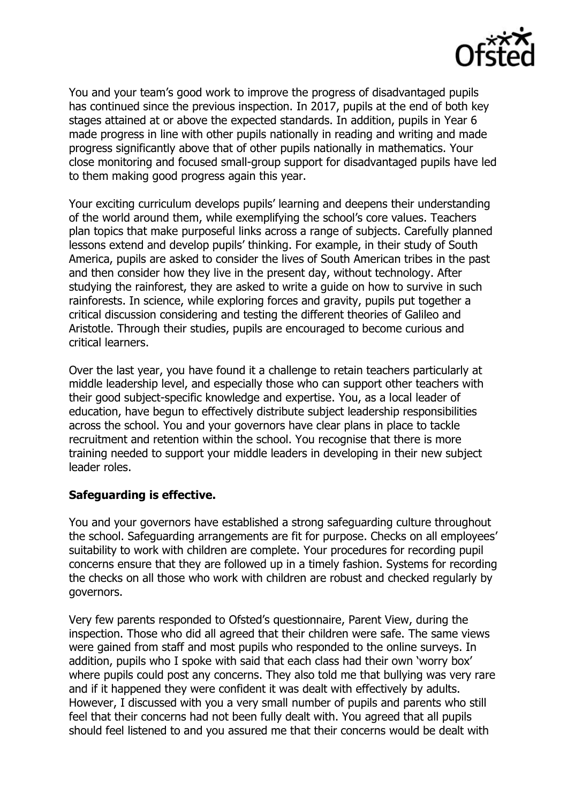

You and your team's good work to improve the progress of disadvantaged pupils has continued since the previous inspection. In 2017, pupils at the end of both key stages attained at or above the expected standards. In addition, pupils in Year 6 made progress in line with other pupils nationally in reading and writing and made progress significantly above that of other pupils nationally in mathematics. Your close monitoring and focused small-group support for disadvantaged pupils have led to them making good progress again this year.

Your exciting curriculum develops pupils' learning and deepens their understanding of the world around them, while exemplifying the school's core values. Teachers plan topics that make purposeful links across a range of subjects. Carefully planned lessons extend and develop pupils' thinking. For example, in their study of South America, pupils are asked to consider the lives of South American tribes in the past and then consider how they live in the present day, without technology. After studying the rainforest, they are asked to write a guide on how to survive in such rainforests. In science, while exploring forces and gravity, pupils put together a critical discussion considering and testing the different theories of Galileo and Aristotle. Through their studies, pupils are encouraged to become curious and critical learners.

Over the last year, you have found it a challenge to retain teachers particularly at middle leadership level, and especially those who can support other teachers with their good subject-specific knowledge and expertise. You, as a local leader of education, have begun to effectively distribute subject leadership responsibilities across the school. You and your governors have clear plans in place to tackle recruitment and retention within the school. You recognise that there is more training needed to support your middle leaders in developing in their new subject leader roles.

# **Safeguarding is effective.**

You and your governors have established a strong safeguarding culture throughout the school. Safeguarding arrangements are fit for purpose. Checks on all employees' suitability to work with children are complete. Your procedures for recording pupil concerns ensure that they are followed up in a timely fashion. Systems for recording the checks on all those who work with children are robust and checked regularly by governors.

Very few parents responded to Ofsted's questionnaire, Parent View, during the inspection. Those who did all agreed that their children were safe. The same views were gained from staff and most pupils who responded to the online surveys. In addition, pupils who I spoke with said that each class had their own 'worry box' where pupils could post any concerns. They also told me that bullying was very rare and if it happened they were confident it was dealt with effectively by adults. However, I discussed with you a very small number of pupils and parents who still feel that their concerns had not been fully dealt with. You agreed that all pupils should feel listened to and you assured me that their concerns would be dealt with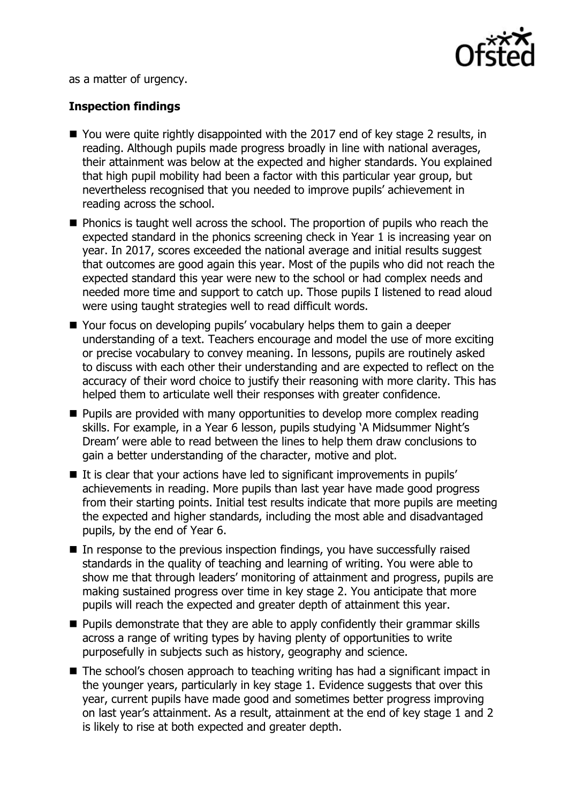

as a matter of urgency.

# **Inspection findings**

- You were quite rightly disappointed with the 2017 end of key stage 2 results, in reading. Although pupils made progress broadly in line with national averages, their attainment was below at the expected and higher standards. You explained that high pupil mobility had been a factor with this particular year group, but nevertheless recognised that you needed to improve pupils' achievement in reading across the school.
- **Phonics is taught well across the school. The proportion of pupils who reach the** expected standard in the phonics screening check in Year 1 is increasing year on year. In 2017, scores exceeded the national average and initial results suggest that outcomes are good again this year. Most of the pupils who did not reach the expected standard this year were new to the school or had complex needs and needed more time and support to catch up. Those pupils I listened to read aloud were using taught strategies well to read difficult words.
- Your focus on developing pupils' vocabulary helps them to gain a deeper understanding of a text. Teachers encourage and model the use of more exciting or precise vocabulary to convey meaning. In lessons, pupils are routinely asked to discuss with each other their understanding and are expected to reflect on the accuracy of their word choice to justify their reasoning with more clarity. This has helped them to articulate well their responses with greater confidence.
- **Pupils are provided with many opportunities to develop more complex reading** skills. For example, in a Year 6 lesson, pupils studying 'A Midsummer Night's Dream' were able to read between the lines to help them draw conclusions to gain a better understanding of the character, motive and plot.
- $\blacksquare$  It is clear that your actions have led to significant improvements in pupils' achievements in reading. More pupils than last year have made good progress from their starting points. Initial test results indicate that more pupils are meeting the expected and higher standards, including the most able and disadvantaged pupils, by the end of Year 6.
- $\blacksquare$  In response to the previous inspection findings, you have successfully raised standards in the quality of teaching and learning of writing. You were able to show me that through leaders' monitoring of attainment and progress, pupils are making sustained progress over time in key stage 2. You anticipate that more pupils will reach the expected and greater depth of attainment this year.
- $\blacksquare$  Pupils demonstrate that they are able to apply confidently their grammar skills across a range of writing types by having plenty of opportunities to write purposefully in subjects such as history, geography and science.
- The school's chosen approach to teaching writing has had a significant impact in the younger years, particularly in key stage 1. Evidence suggests that over this year, current pupils have made good and sometimes better progress improving on last year's attainment. As a result, attainment at the end of key stage 1 and 2 is likely to rise at both expected and greater depth.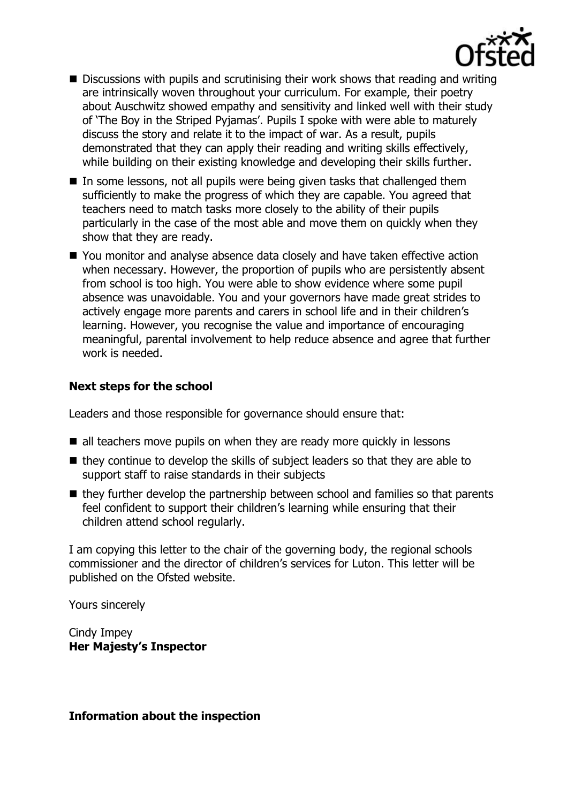

- Discussions with pupils and scrutinising their work shows that reading and writing are intrinsically woven throughout your curriculum. For example, their poetry about Auschwitz showed empathy and sensitivity and linked well with their study of 'The Boy in the Striped Pyjamas'. Pupils I spoke with were able to maturely discuss the story and relate it to the impact of war. As a result, pupils demonstrated that they can apply their reading and writing skills effectively, while building on their existing knowledge and developing their skills further.
- $\blacksquare$  In some lessons, not all pupils were being given tasks that challenged them sufficiently to make the progress of which they are capable. You agreed that teachers need to match tasks more closely to the ability of their pupils particularly in the case of the most able and move them on quickly when they show that they are ready.
- You monitor and analyse absence data closely and have taken effective action when necessary. However, the proportion of pupils who are persistently absent from school is too high. You were able to show evidence where some pupil absence was unavoidable. You and your governors have made great strides to actively engage more parents and carers in school life and in their children's learning. However, you recognise the value and importance of encouraging meaningful, parental involvement to help reduce absence and agree that further work is needed.

# **Next steps for the school**

Leaders and those responsible for governance should ensure that:

- $\blacksquare$  all teachers move pupils on when they are ready more quickly in lessons
- $\blacksquare$  they continue to develop the skills of subject leaders so that they are able to support staff to raise standards in their subjects
- $\blacksquare$  they further develop the partnership between school and families so that parents feel confident to support their children's learning while ensuring that their children attend school regularly.

I am copying this letter to the chair of the governing body, the regional schools commissioner and the director of children's services for Luton. This letter will be published on the Ofsted website.

Yours sincerely

Cindy Impey **Her Majesty's Inspector**

# **Information about the inspection**